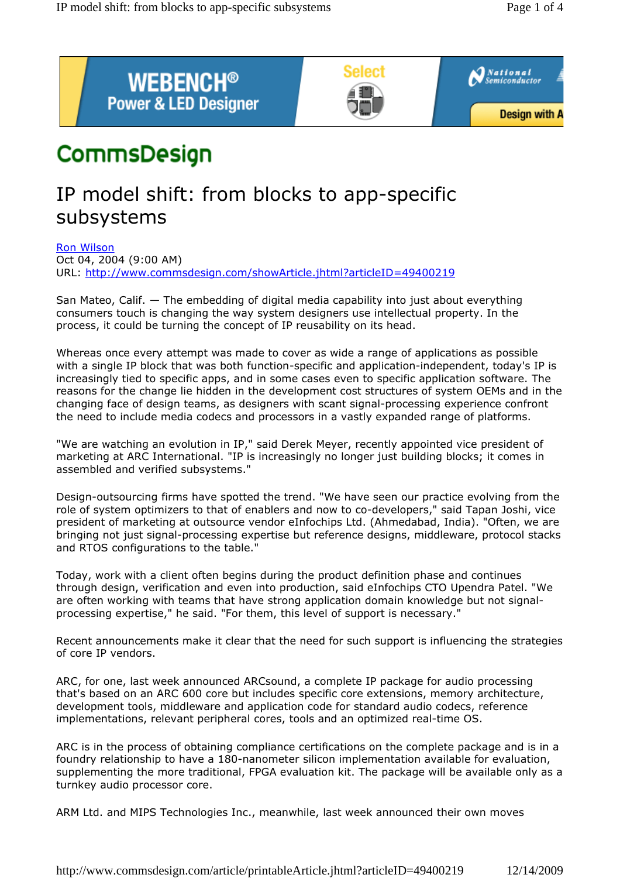

# CommsDesign

## IP model shift: from blocks to app-specific subsystems

Ron Wilson

Oct 04, 2004 (9:00 AM) URL: http://www.commsdesign.com/showArticle.jhtml?articleID=49400219

San Mateo, Calif. — The embedding of digital media capability into just about everything consumers touch is changing the way system designers use intellectual property. In the process, it could be turning the concept of IP reusability on its head.

Whereas once every attempt was made to cover as wide a range of applications as possible with a single IP block that was both function-specific and application-independent, today's IP is increasingly tied to specific apps, and in some cases even to specific application software. The reasons for the change lie hidden in the development cost structures of system OEMs and in the changing face of design teams, as designers with scant signal-processing experience confront the need to include media codecs and processors in a vastly expanded range of platforms.

"We are watching an evolution in IP," said Derek Meyer, recently appointed vice president of marketing at ARC International. "IP is increasingly no longer just building blocks; it comes in assembled and verified subsystems."

Design-outsourcing firms have spotted the trend. "We have seen our practice evolving from the role of system optimizers to that of enablers and now to co-developers," said Tapan Joshi, vice president of marketing at outsource vendor eInfochips Ltd. (Ahmedabad, India). "Often, we are bringing not just signal-processing expertise but reference designs, middleware, protocol stacks and RTOS configurations to the table."

Today, work with a client often begins during the product definition phase and continues through design, verification and even into production, said eInfochips CTO Upendra Patel. "We are often working with teams that have strong application domain knowledge but not signalprocessing expertise," he said. "For them, this level of support is necessary."

Recent announcements make it clear that the need for such support is influencing the strategies of core IP vendors.

ARC, for one, last week announced ARCsound, a complete IP package for audio processing that's based on an ARC 600 core but includes specific core extensions, memory architecture, development tools, middleware and application code for standard audio codecs, reference implementations, relevant peripheral cores, tools and an optimized real-time OS.

ARC is in the process of obtaining compliance certifications on the complete package and is in a foundry relationship to have a 180-nanometer silicon implementation available for evaluation, supplementing the more traditional, FPGA evaluation kit. The package will be available only as a turnkey audio processor core.

ARM Ltd. and MIPS Technologies Inc., meanwhile, last week announced their own moves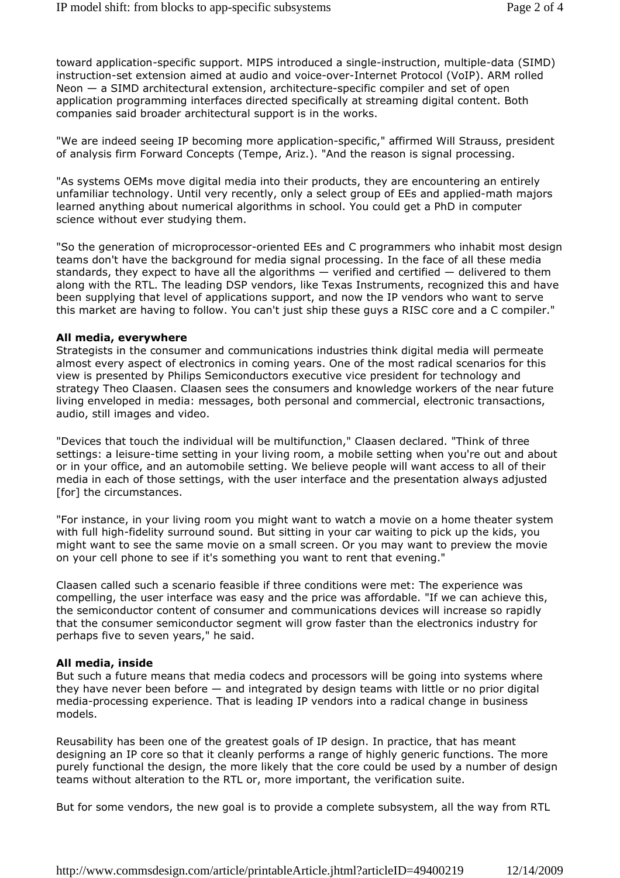toward application-specific support. MIPS introduced a single-instruction, multiple-data (SIMD) instruction-set extension aimed at audio and voice-over-Internet Protocol (VoIP). ARM rolled Neon — a SIMD architectural extension, architecture-specific compiler and set of open application programming interfaces directed specifically at streaming digital content. Both companies said broader architectural support is in the works.

"We are indeed seeing IP becoming more application-specific," affirmed Will Strauss, president of analysis firm Forward Concepts (Tempe, Ariz.). "And the reason is signal processing.

"As systems OEMs move digital media into their products, they are encountering an entirely unfamiliar technology. Until very recently, only a select group of EEs and applied-math majors learned anything about numerical algorithms in school. You could get a PhD in computer science without ever studying them.

"So the generation of microprocessor-oriented EEs and C programmers who inhabit most design teams don't have the background for media signal processing. In the face of all these media standards, they expect to have all the algorithms — verified and certified — delivered to them along with the RTL. The leading DSP vendors, like Texas Instruments, recognized this and have been supplying that level of applications support, and now the IP vendors who want to serve this market are having to follow. You can't just ship these guys a RISC core and a C compiler."

#### **All media, everywhere**

Strategists in the consumer and communications industries think digital media will permeate almost every aspect of electronics in coming years. One of the most radical scenarios for this view is presented by Philips Semiconductors executive vice president for technology and strategy Theo Claasen. Claasen sees the consumers and knowledge workers of the near future living enveloped in media: messages, both personal and commercial, electronic transactions, audio, still images and video.

"Devices that touch the individual will be multifunction," Claasen declared. "Think of three settings: a leisure-time setting in your living room, a mobile setting when you're out and about or in your office, and an automobile setting. We believe people will want access to all of their media in each of those settings, with the user interface and the presentation always adjusted [for] the circumstances.

"For instance, in your living room you might want to watch a movie on a home theater system with full high-fidelity surround sound. But sitting in your car waiting to pick up the kids, you might want to see the same movie on a small screen. Or you may want to preview the movie on your cell phone to see if it's something you want to rent that evening."

Claasen called such a scenario feasible if three conditions were met: The experience was compelling, the user interface was easy and the price was affordable. "If we can achieve this, the semiconductor content of consumer and communications devices will increase so rapidly that the consumer semiconductor segment will grow faster than the electronics industry for perhaps five to seven years," he said.

#### **All media, inside**

But such a future means that media codecs and processors will be going into systems where they have never been before — and integrated by design teams with little or no prior digital media-processing experience. That is leading IP vendors into a radical change in business models.

Reusability has been one of the greatest goals of IP design. In practice, that has meant designing an IP core so that it cleanly performs a range of highly generic functions. The more purely functional the design, the more likely that the core could be used by a number of design teams without alteration to the RTL or, more important, the verification suite.

But for some vendors, the new goal is to provide a complete subsystem, all the way from RTL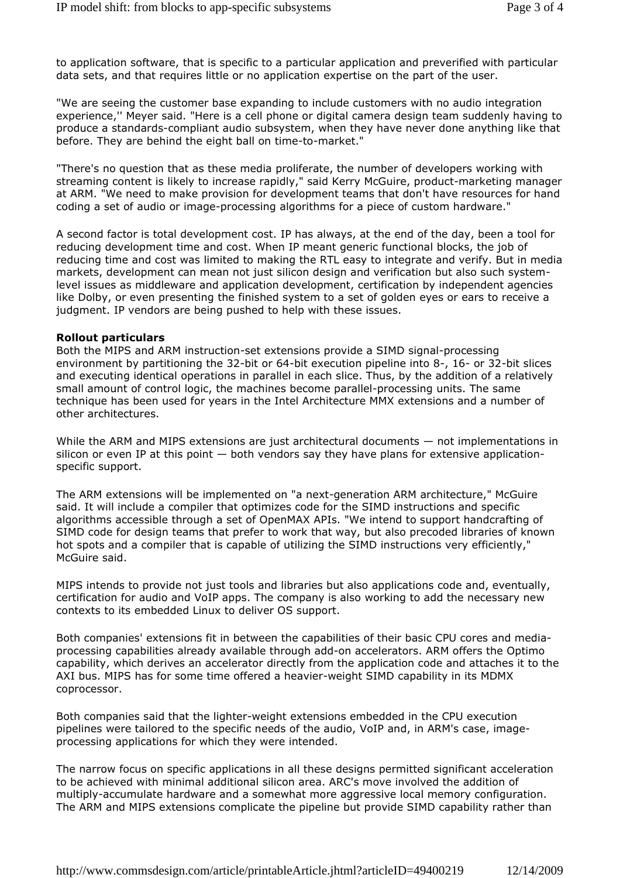to application software, that is specific to a particular application and preverified with particular data sets, and that requires little or no application expertise on the part of the user.

"We are seeing the customer base expanding to include customers with no audio integration experience,'' Meyer said. "Here is a cell phone or digital camera design team suddenly having to produce a standards-compliant audio subsystem, when they have never done anything like that before. They are behind the eight ball on time-to-market."

"There's no question that as these media proliferate, the number of developers working with streaming content is likely to increase rapidly," said Kerry McGuire, product-marketing manager at ARM. "We need to make provision for development teams that don't have resources for hand coding a set of audio or image-processing algorithms for a piece of custom hardware."

A second factor is total development cost. IP has always, at the end of the day, been a tool for reducing development time and cost. When IP meant generic functional blocks, the job of reducing time and cost was limited to making the RTL easy to integrate and verify. But in media markets, development can mean not just silicon design and verification but also such systemlevel issues as middleware and application development, certification by independent agencies like Dolby, or even presenting the finished system to a set of golden eyes or ears to receive a judgment. IP vendors are being pushed to help with these issues.

### **Rollout particulars**

Both the MIPS and ARM instruction-set extensions provide a SIMD signal-processing environment by partitioning the 32-bit or 64-bit execution pipeline into 8-, 16- or 32-bit slices and executing identical operations in parallel in each slice. Thus, by the addition of a relatively small amount of control logic, the machines become parallel-processing units. The same technique has been used for years in the Intel Architecture MMX extensions and a number of other architectures.

While the ARM and MIPS extensions are just architectural documents — not implementations in silicon or even IP at this point  $-$  both vendors say they have plans for extensive applicationspecific support.

The ARM extensions will be implemented on "a next-generation ARM architecture," McGuire said. It will include a compiler that optimizes code for the SIMD instructions and specific algorithms accessible through a set of OpenMAX APIs. "We intend to support handcrafting of SIMD code for design teams that prefer to work that way, but also precoded libraries of known hot spots and a compiler that is capable of utilizing the SIMD instructions very efficiently," McGuire said.

MIPS intends to provide not just tools and libraries but also applications code and, eventually, certification for audio and VoIP apps. The company is also working to add the necessary new contexts to its embedded Linux to deliver OS support.

Both companies' extensions fit in between the capabilities of their basic CPU cores and mediaprocessing capabilities already available through add-on accelerators. ARM offers the Optimo capability, which derives an accelerator directly from the application code and attaches it to the AXI bus. MIPS has for some time offered a heavier-weight SIMD capability in its MDMX coprocessor.

Both companies said that the lighter-weight extensions embedded in the CPU execution pipelines were tailored to the specific needs of the audio, VoIP and, in ARM's case, imageprocessing applications for which they were intended.

The narrow focus on specific applications in all these designs permitted significant acceleration to be achieved with minimal additional silicon area. ARC's move involved the addition of multiply-accumulate hardware and a somewhat more aggressive local memory configuration. The ARM and MIPS extensions complicate the pipeline but provide SIMD capability rather than